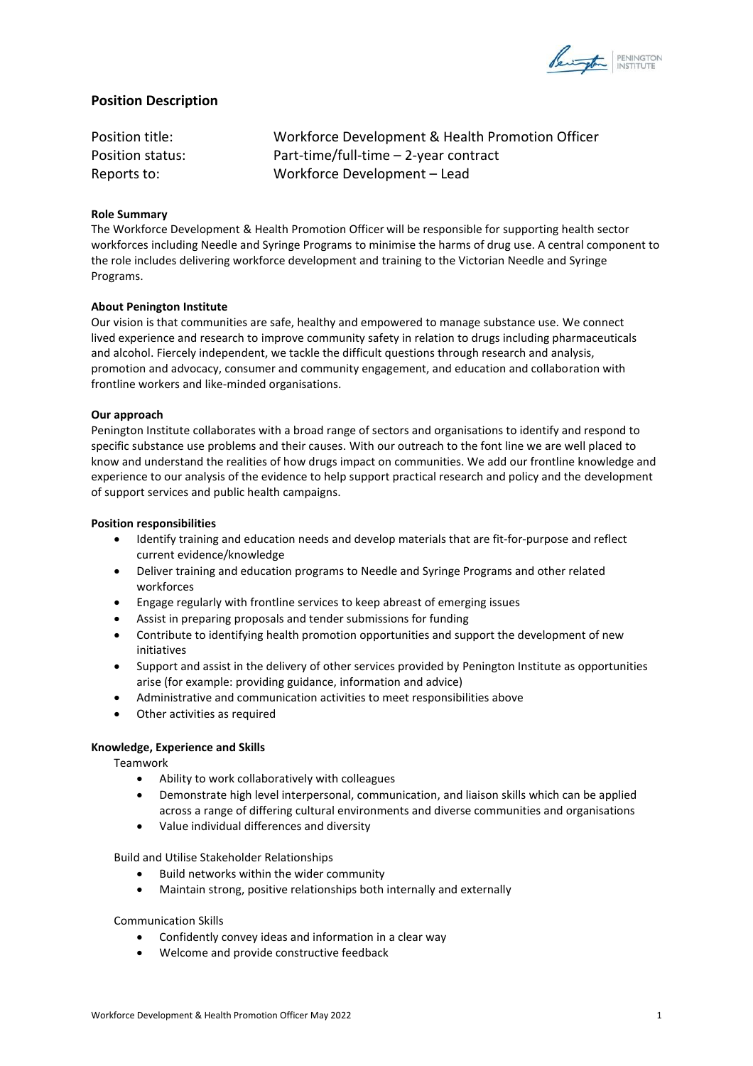

# **Position Description**

Position title: Workforce Development & Health Promotion Officer Position status: Part-time/full-time – 2-year contract Reports to: Workforce Development – Lead

# **Role Summary**

The Workforce Development & Health Promotion Officer will be responsible for supporting health sector workforces including Needle and Syringe Programs to minimise the harms of drug use. A central component to the role includes delivering workforce development and training to the Victorian Needle and Syringe Programs.

## **About Penington Institute**

Our vision is that communities are safe, healthy and empowered to manage substance use. We connect lived experience and research to improve community safety in relation to drugs including pharmaceuticals and alcohol. Fiercely independent, we tackle the difficult questions through research and analysis, promotion and advocacy, consumer and community engagement, and education and collaboration with frontline workers and like-minded organisations.

### **Our approach**

Penington Institute collaborates with a broad range of sectors and organisations to identify and respond to specific substance use problems and their causes. With our outreach to the font line we are well placed to know and understand the realities of how drugs impact on communities. We add our frontline knowledge and experience to our analysis of the evidence to help support practical research and policy and the development of support services and public health campaigns.

## **Position responsibilities**

- Identify training and education needs and develop materials that are fit-for-purpose and reflect current evidence/knowledge
- Deliver training and education programs to Needle and Syringe Programs and other related workforces
- Engage regularly with frontline services to keep abreast of emerging issues
- Assist in preparing proposals and tender submissions for funding
- Contribute to identifying health promotion opportunities and support the development of new initiatives
- Support and assist in the delivery of other services provided by Penington Institute as opportunities arise (for example: providing guidance, information and advice)
- Administrative and communication activities to meet responsibilities above
- Other activities as required

# **Knowledge, Experience and Skills**

Teamwork

- Ability to work collaboratively with colleagues
- Demonstrate high level interpersonal, communication, and liaison skills which can be applied across a range of differing cultural environments and diverse communities and organisations
- Value individual differences and diversity

Build and Utilise Stakeholder Relationships

- Build networks within the wider community
- Maintain strong, positive relationships both internally and externally

# Communication Skills

- Confidently convey ideas and information in a clear way
- Welcome and provide constructive feedback